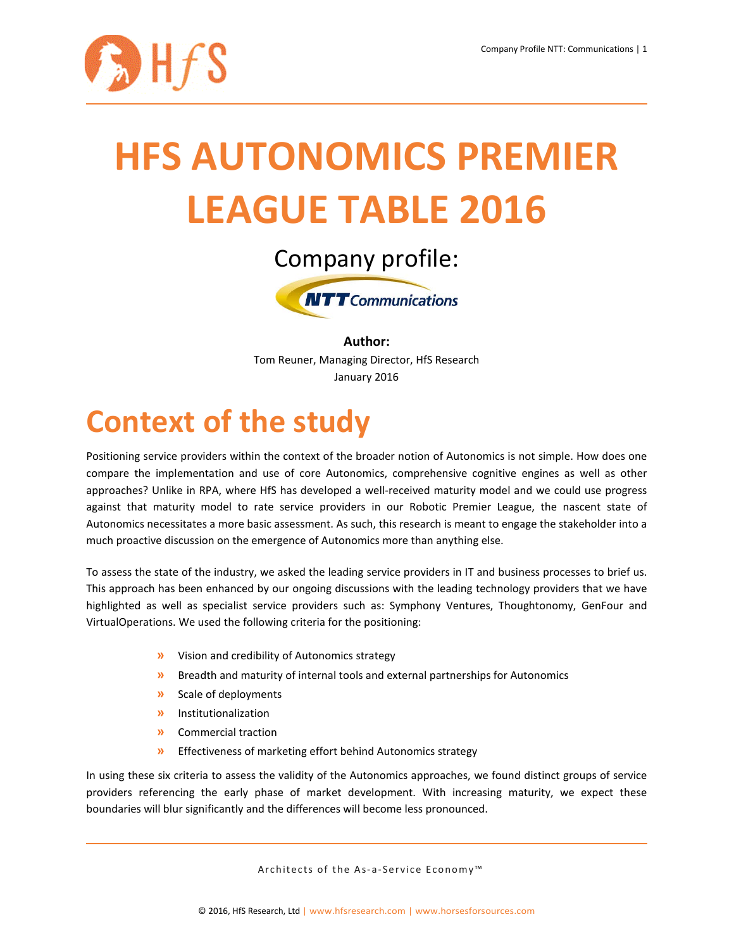

# **HFS AUTONOMICS PREMIER LEAGUE TABLE 2016**



**Author:** Tom Reuner, Managing Director, HfS Research January 2016

# **Context of the study**

Positioning service providers within the context of the broader notion of Autonomics is not simple. How does one compare the implementation and use of core Autonomics, comprehensive cognitive engines as well as other approaches? Unlike in RPA, where HfS has developed a well-received maturity model and we could use progress against that maturity model to rate service providers in our Robotic Premier League, the nascent state of Autonomics necessitates a more basic assessment. As such, this research is meant to engage the stakeholder into a much proactive discussion on the emergence of Autonomics more than anything else.

To assess the state of the industry, we asked the leading service providers in IT and business processes to brief us. This approach has been enhanced by our ongoing discussions with the leading technology providers that we have highlighted as well as specialist service providers such as: Symphony Ventures, Thoughtonomy, GenFour and VirtualOperations. We used the following criteria for the positioning:

- **»** Vision and credibility of Autonomics strategy
- **»** Breadth and maturity of internal tools and external partnerships for Autonomics
- **»** Scale of deployments
- **»** Institutionalization
- **»** Commercial traction
- **»** Effectiveness of marketing effort behind Autonomics strategy

In using these six criteria to assess the validity of the Autonomics approaches, we found distinct groups of service providers referencing the early phase of market development. With increasing maturity, we expect these boundaries will blur significantly and the differences will become less pronounced.

Architects of the As-a-Service Economy<sup>™</sup>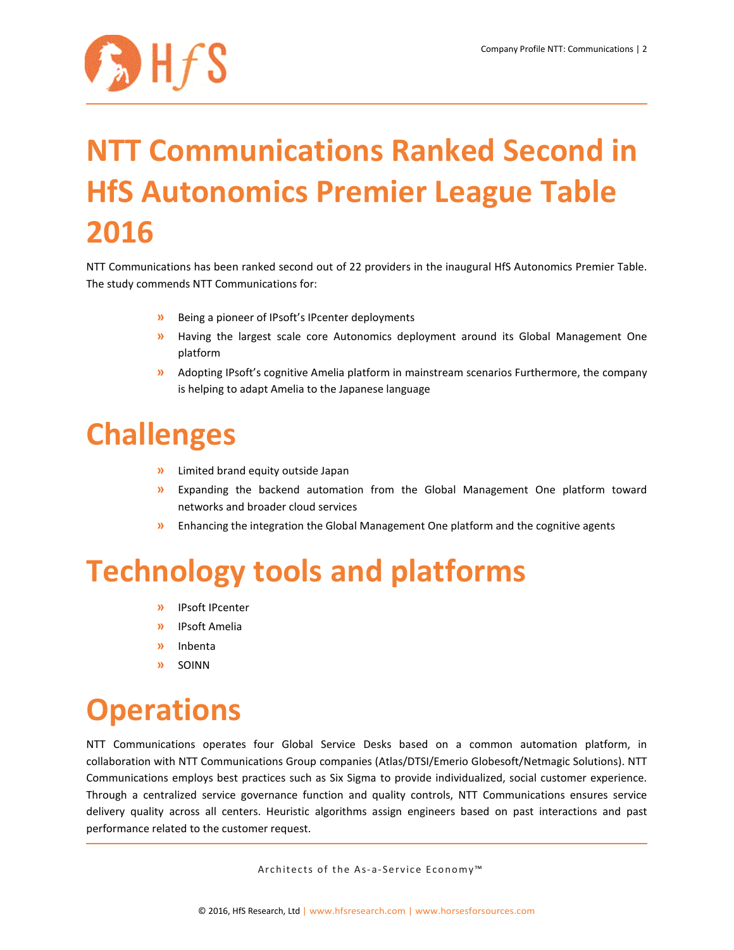

# **NTT Communications Ranked Second in HfS Autonomics Premier League Table 2016**

NTT Communications has been ranked second out of 22 providers in the inaugural HfS Autonomics Premier Table. The study commends NTT Communications for:

- **»** Being a pioneer of IPsoft's IPcenter deployments
- **»** Having the largest scale core Autonomics deployment around its Global Management One platform
- **»** Adopting IPsoft's cognitive Amelia platform in mainstream scenarios Furthermore, the company is helping to adapt Amelia to the Japanese language

#### **Challenges**

- **»** Limited brand equity outside Japan
- **»** Expanding the backend automation from the Global Management One platform toward networks and broader cloud services
- **»** Enhancing the integration the Global Management One platform and the cognitive agents

#### **Technology tools and platforms**

- **»** IPsoft IPcenter
- **»** IPsoft Amelia
- **»** Inbenta
- **»** SOINN

# **Operations**

NTT Communications operates four Global Service Desks based on a common automation platform, in collaboration with NTT Communications Group companies (Atlas/DTSI/Emerio Globesoft/Netmagic Solutions). NTT Communications employs best practices such as Six Sigma to provide individualized, social customer experience. Through a centralized service governance function and quality controls, NTT Communications ensures service delivery quality across all centers. Heuristic algorithms assign engineers based on past interactions and past performance related to the customer request.

Architects of the As-a-Service Economy<sup>™</sup>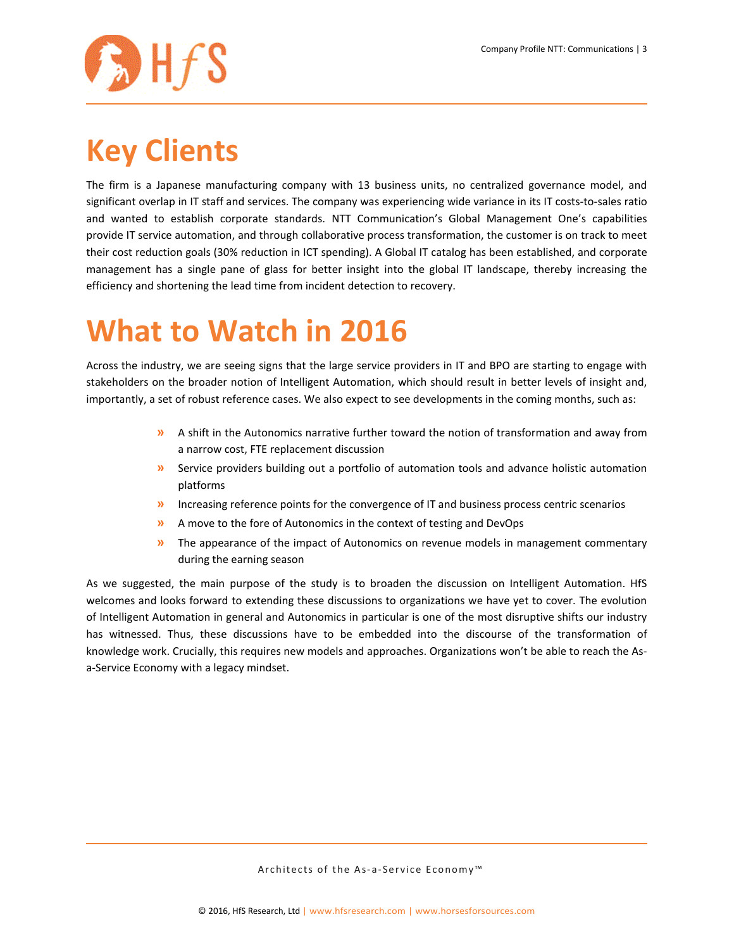

# **Key Clients**

The firm is a Japanese manufacturing company with 13 business units, no centralized governance model, and significant overlap in IT staff and services. The company was experiencing wide variance in its IT costs-to-sales ratio and wanted to establish corporate standards. NTT Communication's Global Management One's capabilities provide IT service automation, and through collaborative process transformation, the customer is on track to meet their cost reduction goals (30% reduction in ICT spending). A Global IT catalog has been established, and corporate management has a single pane of glass for better insight into the global IT landscape, thereby increasing the efficiency and shortening the lead time from incident detection to recovery.

# **What to Watch in 2016**

Across the industry, we are seeing signs that the large service providers in IT and BPO are starting to engage with stakeholders on the broader notion of Intelligent Automation, which should result in better levels of insight and, importantly, a set of robust reference cases. We also expect to see developments in the coming months, such as:

- **»** A shift in the Autonomics narrative further toward the notion of transformation and away from a narrow cost, FTE replacement discussion
- **»** Service providers building out a portfolio of automation tools and advance holistic automation platforms
- **»** Increasing reference points for the convergence of IT and business process centric scenarios
- **»** A move to the fore of Autonomics in the context of testing and DevOps
- **»** The appearance of the impact of Autonomics on revenue models in management commentary during the earning season

As we suggested, the main purpose of the study is to broaden the discussion on Intelligent Automation. HfS welcomes and looks forward to extending these discussions to organizations we have yet to cover. The evolution of Intelligent Automation in general and Autonomics in particular is one of the most disruptive shifts our industry has witnessed. Thus, these discussions have to be embedded into the discourse of the transformation of knowledge work. Crucially, this requires new models and approaches. Organizations won't be able to reach the Asa-Service Economy with a legacy mindset.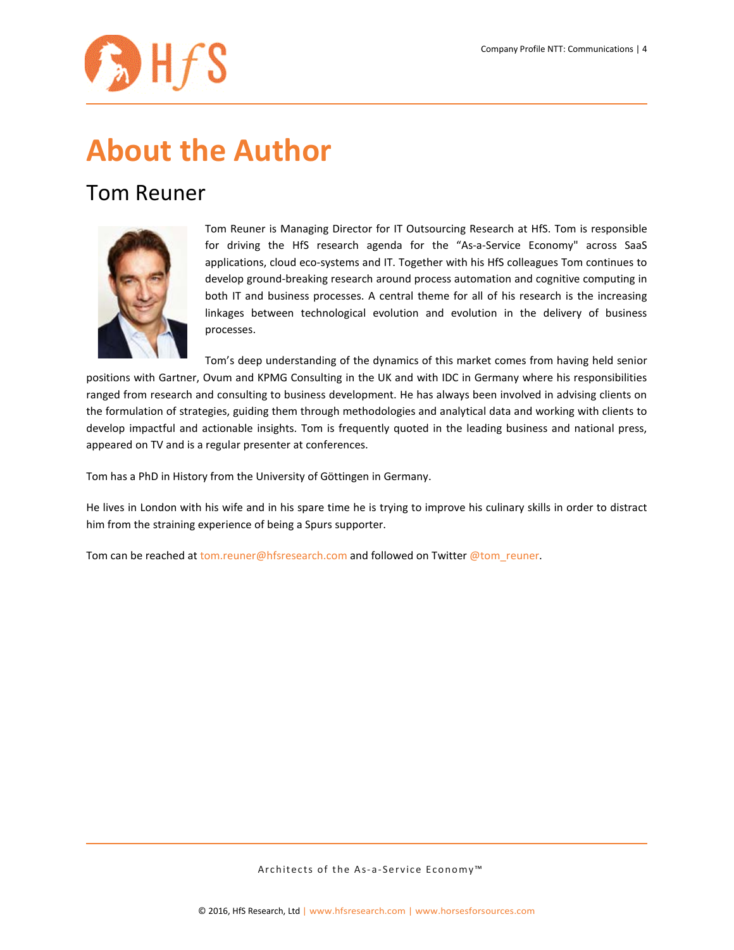

# **About the Author**

#### Tom Reuner



Tom Reuner is Managing Director for IT Outsourcing Research at HfS. Tom is responsible for driving the HfS research agenda for the "As-a-Service Economy" across SaaS applications, cloud eco-systems and IT. Together with his HfS colleagues Tom continues to develop ground-breaking research around process automation and cognitive computing in both IT and business processes. A central theme for all of his research is the increasing linkages between technological evolution and evolution in the delivery of business processes.

Tom's deep understanding of the dynamics of this market comes from having held senior positions with Gartner, Ovum and KPMG Consulting in the UK and with IDC in Germany where his responsibilities ranged from research and consulting to business development. He has always been involved in advising clients on the formulation of strategies, guiding them through methodologies and analytical data and working with clients to develop impactful and actionable insights. Tom is frequently quoted in the leading business and national press, appeared on TV and is a regular presenter at conferences.

Tom has a PhD in History from the University of Göttingen in Germany.

He lives in London with his wife and in his spare time he is trying to improve his culinary skills in order to distract him from the straining experience of being a Spurs supporter.

Tom can be reached at [tom.reuner@hfsresearch.com](mailto:tom.reuner@hfsresearch.com) and followed on Twitter [@tom\\_reuner.](https://twitter.com/tom_reuner)

Architects of the As-a-Service Economy<sup>™</sup>